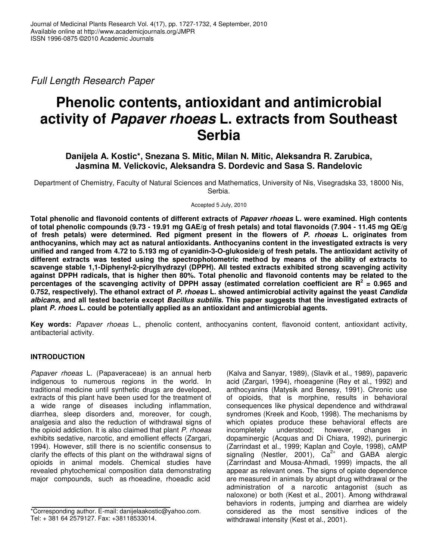*Full Length Research Paper*

# **Phenolic contents, antioxidant and antimicrobial activity of** *Papaver rhoeas* **L. extracts from Southeast Serbia**

# **Danijela A. Kostic\*, Snezana S. Mitic, Milan N. Mitic, Aleksandra R. Zarubica, Jasmina M. Velickovic, Aleksandra S. Dordevic and Sasa S. Randelovic**

Department of Chemistry, Faculty of Natural Sciences and Mathematics, University of Nis, Visegradska 33, 18000 Nis, Serbia.

Accepted 5 July, 2010

**Total phenolic and flavonoid contents of different extracts of** *Papaver rhoeas* **L. were examined. High contents** of total phenolic compounds (9.73 - 19.91 mg GAE/g of fresh petals) and total flavonoids (7.904 - 11.45 mg QE/g **of fresh petals) were determined. Red pigment present in the flowers of** *P. rhoeas* **L. originates from anthocyanins, which may act as natural antioxidants. Anthocyanins content in the investigated extracts is very** unified and ranged from 4.72 to 5.193 mg of cyanidin-3-O-glukoside/g of fresh petals. The antioxidant activity of **different extracts was tested using the spectrophotometric method by means of the ability of extracts to scavenge stable 1,1-Diphenyl-2-picrylhydrazyl (DPPH). All tested extracts exhibited strong scavenging activity** against DPPH radicals, that is higher then 80%. Total phenolic and flavonoid contents may be related to the percentages of the scavenging activity of DPPH assay (estimated correlation coefficient are  $R^2$  = 0.965 and 0.752, respectively). The ethanol extract of P. rhoeas L. showed antimicrobial activity against the yeast Candida albicans, and all tested bacteria except Bacillus subtilis. This paper suggests that the investigated extracts of **plant** *P. rhoes* **L. could be potentially applied as an antioxidant and antimicrobial agents.**

**Key words:** *Papaver rhoeas* L., phenolic content, anthocyanins content, flavonoid content, antioxidant activity, antibacterial activity.

# **INTRODUCTION**

*Papaver rhoeas* L. (Papaveraceae) is an annual herb indigenous to numerous regions in the world. In traditional medicine until synthetic drugs are developed, extracts of this plant have been used for the treatment of a wide range of diseases including inflammation, diarrhea, sleep disorders and, moreover, for cough, analgesia and also the reduction of withdrawal signs of the opioid addiction. It is also claimed that plant *P. rhoeas* exhibits sedative, narcotic, and emollient effects (Zargari, 1994). However, still there is no scientific consensus to clarify the effects of this plant on the withdrawal signs of opioids in animal models. Chemical studies have revealed phytochemical composition data demonstrating major compounds, such as rhoeadine, rhoeadic acid

(Kalva and Sanyar, 1989), (Slavik et al., 1989), papaveric acid (Zargari, 1994), rhoeagenine (Rey et al., 1992) and anthocyanins (Matysik and Benesy, 1991). Chronic use of opioids, that is morphine, results in behavioral consequences like physical dependence and withdrawal syndromes (Kreek and Koob, 1998). The mechanisms by which opiates produce these behavioral effects are incompletely understood; however, changes in understood; however, changes in dopaminergic (Acquas and Di Chiara, 1992), purinergic (Zarrindast et al., 1999; Kaplan and Coyle, 1998), cAMP signaling (Nestler, 2001),  $Ca^{2+}$  and GABA alergic (Zarrindast and Mousa-Ahmadi, 1999) impacts, the all appear as relevant ones. The signs of opiate dependence are measured in animals by abrupt drug withdrawal or the administration of a narcotic antagonist (such as naloxone) or both (Kest et al., 2001). Among withdrawal behaviors in rodents, jumping and diarrhea are widely considered as the most sensitive indices of the withdrawal intensity (Kest et al., 2001).

<sup>\*</sup>Corresponding author. E-mail: danijelaakostic@yahoo.com. Tel: + 381 64 2579127. Fax: +38118533014.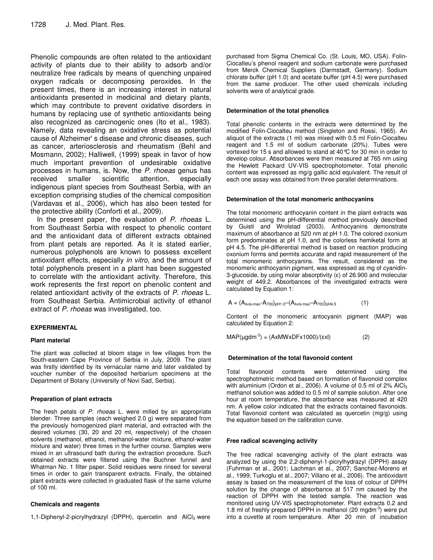Phenolic compounds are often related to the antioxidant activity of plants due to their ability to adsorb and/or neutralize free radicals by means of quenching unpaired oxygen radicals or decomposing peroxides. In the present times, there is an increasing interest in natural antioxidants presented in medicinal and dietary plants, which may contribute to prevent oxidative disorders in humans by replacing use of synthetic antioxidants being also recognized as carcinogenic ones (Ito et al., 1983). Namely, data revealing an oxidative stress as potential cause of Alzheimer' s disease and chronic diseases, such as cancer, arteriosclerosis and rheumatism (Behl and Mosmann, 2002); Halliwell, (1999) speak in favor of how much important prevention of undesirable oxidative processes in humans, is. Now, the *P. rhoeas* genus has received smaller scientific attention, especially indigenous plant species from Southeast Serbia, with an exception comprising studies of the chemical composition (Vardavas et al., 2006), which has also been tested for the protective ability (Conforti et al., 2009).

In the present paper, the evaluation of *P. rhoeas* L. from Southeast Serbia with respect to phenolic content and the antioxidant data of different extracts obtained from plant petals are reported. As it is stated earlier, numerous polyphenols are known to possess excellent antioxidant effects, especially *in vitro,* and the amount of total polyphenols present in a plant has been suggested to correlate with the antioxidant activity. Therefore, this work represents the first report on phenolic content and related antioxidant activity of the extracts of *P. rhoeas* L. from Southeast Serbia. Antimicrobial activity of ethanol extract of *P. rhoeas* was investigated, too.

# **EXPERIMENTAL**

# **Plant material**

The plant was collected at bloom stage in few villages from the South-eastern Cape Province of Serbia in July, 2009. The plant was firstly identified by its vernacular name and later validated by voucher number of the deposited herbarium specimens at the Department of Botany (University of Novi Sad, Serbia).

# **Preparation of plant extracts**

The fresh petals of *P. rhoeas* L. were milled by an appropriate blender. Three samples (each weighed 2.0 g) were separated from the previously homogenized plant material, and extracted with the desired volumes (30, 20 and 20 ml, respectively) of the chosen solvents (methanol, ethanol, methanol-water mixture, ethanol-water mixture and water) three times in the further course. Samples were mixed in an ultrasound bath during the extraction procedure. Such obtained extracts were filtered using the Buchner funnel and Whatman No. 1 filter paper. Solid residues were rinsed for several times in order to gain transparent extracts. Finally, the obtained plant extracts were collected in graduated flask of the same volume of 100 ml.

# **Chemicals and reagents**

1,1-Diphenyl-2-picrylhydrazyl (DPPH), quercetin and AlCl<sub>3</sub> were

purchased from Sigma Chemical Co. (St. Louis, MO, USA). Folin-Ciocalteu's phenol reagent and sodium carbonate were purchased from Merck Chemical Suppliers (Darmstadt, Germany). Sodium chlorate buffer (pH 1.0) and acetate buffer (pH 4.5) were purchased from the same producer. The other used chemicals including solvents were of analytical grade.

# **Determination of the total phenolics**

Total phenolic contents in the extracts were determined by the modified Folin-Ciocalteu method (Singleton and Rossi, 1965). An aliquot of the extracts (1 ml) was mixed with 0.5 ml Folin-Ciocalteu reagent and 1.5 ml of sodium carbonate (20%). Tubes were vortexed for 15 s and allowed to stand at 40°C for 30 min in order to develop colour. Absorbances were then measured at 765 nm using the Hewlett Packard UV-VIS spectrophotometer. Total phenolic content was expressed as mg/g gallic acid equivalent. The result of each one assay was obtained from three parallel determinations.

#### **Determination of the total monomeric anthocyanins**

The total monomeric anthocyanin content in the plant extracts was determined using the pH-differential method previously described by Guisti and Wrolstad (2003). Anthocyanins demonstrate maximum of absorbance at 520 nm at pH 1.0. The colored oxonium form predominates at pH 1.0, and the colorless hemiketal form at pH 4.5. The pH-differential method is based on reaction producing oxonium forms and permits accurate and rapid measurement of the total monomeric anthocyanins. The result, considered as the monomeric anthocyanin pigment, was expressed as mg of cyanidin-3-glucoside, by using molar absorptivity  $(\epsilon)$  of 26.900 and molecular weight of 449.2. Absorbances of the investigated extracts were calculated by Equation 1:

$$
A = (A_{\lambda vis \text{-}max} - A_{700})_{pH1.0} - (A_{\lambda vis \text{-}max} - A_{700})_{pH4.5}
$$
 (1)

Content of the monomeric antocyanin pigment (MAP) was calculated by Equation 2:

 $MAP(\mu gdm^{-3}) = (AxMWxDFx1000)/(\epsilon xI)$  (2)

#### **Determination of the total flavonoid content**

Total flavonoid contents were determined using the spectrophotmetric method based on formation of flavonoid complex with aluminium (Ordon et al., 2006). A volume of 0.5 ml of  $2\%$  AlCl<sub>3</sub> methanol solution was added to 0.5 ml of sample solution. After one hour at room temperature, the absorbance was measured at 420 nm. A yellow color indicated that the extracts contained flavonoids. Total flavonoid content was calculated as quercetin (mg/g) using the equation based on the calibration curve.

# **Free radical scavenging activity**

The free radical scavenging activity of the plant extracts was analyzed by using the 2,2-diphenyl-1-picrylhydrazyl (DPPH) assay (Fuhrman et al., 2001; Lachman et al., 2007; Sanchez-Moreno et al., 1999; Turkoglu et al., 2007; Villano et al., 2006). The antioxidant assay is based on the measurement of the loss of colour of DPPH solution by the change of absorbance at 517 nm caused by the reaction of DPPH with the tested sample. The reaction was monitored using UV-VIS spectrophotometer. Plant extracts 0.2 and 1.8 ml of freshly prepared DPPH in methanol (20 mgdm $3$ ) were put into a cuvette at room temperature. After 20 min of incubation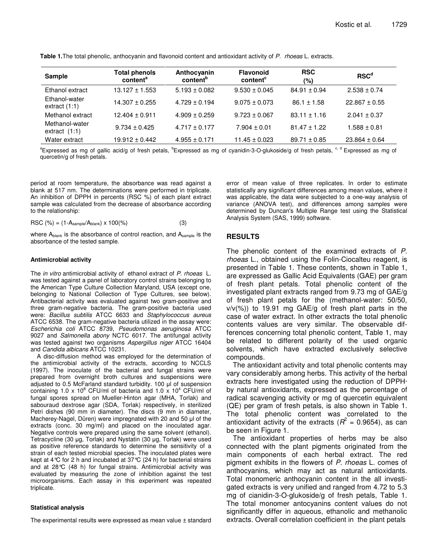| Sample                            | <b>Total phenols</b><br>content <sup>a</sup> | Anthocyanin<br>content <sup>b</sup> | <b>Flavonoid</b><br>content <sup>c</sup> | <b>RSC</b><br>(%) | RSC <sup>d</sup>          |
|-----------------------------------|----------------------------------------------|-------------------------------------|------------------------------------------|-------------------|---------------------------|
| Ethanol extract                   | $13.127 \pm 1.553$                           | $5.193 \pm 0.082$                   | $9.530 \pm 0.045$                        | $84.91 \pm 0.94$  | $2.538 \pm 0.74$          |
| Ethanol-water<br>extract $(1:1)$  | $14.307 \pm 0.255$                           | $4.729 \pm 0.194$                   | $9.075 \pm 0.073$                        | $86.1 \pm 1.58$   | $22.867 \pm 0.55$         |
| Methanol extract                  | $12.404 \pm 0.911$                           | $4.909 \pm 0.259$                   | $9.723 \pm 0.067$                        | $83.11 \pm 1.16$  | $2.041 \pm 0.37$          |
| Methanol-water<br>extract $(1:1)$ | $9.734 \pm 0.425$                            | $4.717 \pm 0.177$                   | $7.904 \pm 0.01$                         | $81.47 \pm 1.22$  | $1.588 \pm 0.81$          |
| Water extract                     | $19.912 \pm 0.442$                           | $4.955 \pm 0.171$                   | $11.45 \pm 0.023$                        | $89.71 \pm 0.85$  | $23.864 \pm 0.64$         |
|                                   |                                              |                                     |                                          |                   | and the state of the con- |

**Table 1.**The total phenolic, anthocyanin and flavonoid content and antioxidant activity of *P. rhoeas* L. extracts.

<sup>a</sup>Expressed as mg of gallic acid/g of fresh petals, <sup>b</sup>Expressed as mg of cyanidin-3-O-glukoside/g of fresh petals, <sup>c, d</sup> Expressed as mg of quercetin/g of fresh petals.

period at room temperature, the absorbance was read against a blank at 517 nm. The determinations were performed in triplicate. An inhibition of DPPH in percents (RSC %) of each plant extract sample was calculated from the decrease of absorbance according to the relationship:

$$
\text{RSC } (\%) = (1 - A_{\text{sample}} / A_{\text{blank}}) \times 100(\%) \tag{3}
$$

where  $A_{\text{blank}}$  is the absorbance of control reaction, and  $A_{\text{sample}}$  is the absorbance of the tested sample.

#### **Antimicrobial activity**

The *in vitro* antimicrobial activity of ethanol extract of *P. rhoeas* L. was tested against a panel of laboratory control strains belonging to the American Type Culture Collection Maryland, USA (except one, belonging to National Collection of Type Cultures, see below). Antibacterial activity was evaluated against two gram-positive and three gram-negative bacteria. The gram-positive bacteria used were: *Bacillus subtilis* ATCC 6633 and *Staphylococcus aureus* ATCC 6538. The gram-negative bacteria utilized in the assay were: *Escherichia coli* ATCC 8739, *Pseudomonas aeruginosa* ATCC 9027 and *Salmonella abony* NCTC 6017. The antifungal activity was tested against two organisms *Aspergillus niger* ATCC 16404 and *Candida albicans* ATCC 10231.

A disc-diffusion method was employed for the determination of the antimicrobial activity of the extracts, according to NCCLS (1997). The inoculate of the bacterial and fungal strains were prepared from overnight broth cultures and suspensions were adjusted to  $0.5$  McFarland standard turbidity. 100  $\mu$ l of suspension containing 1.0 x 10 $^{8}$  CFU/ml of bacteria and 1.0 x 10 $^{4}$  CFU/ml of fungal spores spread on Mueller-Hinton agar (MHA, Torlak) and sabouraud dextrose agar (SDA, Torlak) respectively, in sterilized Petri dishes (90 mm in diameter). The discs (9 mm in diameter, Macherey-Nagel, Düren) were impregnated with 20 and 50 µl of the extracts (conc. 30 mg/ml) and placed on the inoculated agar. Negative controls were prepared using the same solvent (ethanol). Tetracycline (30 µg, Torlak) and Nystatin (30 µg, Torlak) were used as positive reference standards to determine the sensitivity of a strain of each tested microbial species. The inoculated plates were kept at 4°C for 2 h and incubated at 37°C (24 h) for bacterial strains and at 28°C (48 h) for fungal strains. Antimicrobial activity was evaluated by measuring the zone of inhibition against the test microorganisms. Each assay in this experiment was repeated triplicate.

#### **Statistical analysis**

The experimental results were expressed as mean value ± standard

error of mean value of three replicates. In order to estimate statistically any significant differences among mean values, where it was applicable, the data were subjected to a one-way analysis of variance (ANOVA test), and differences among samples were determined by Duncan's Multiple Range test using the Statistical Analysis System (SAS, 1999) software.

# **RESULTS**

The phenolic content of the examined extracts of *P. rhoeas* L., obtained using the Folin-Ciocalteu reagent, is presented in Table 1. These contents, shown in Table 1, are expressed as Gallic Acid Equivalents (GAE) per gram of fresh plant petals. Total phenolic content of the investigated plant extracts ranged from 9.73 mg of GAE/g of fresh plant petals for the (methanol-water: 50/50,  $v/v(\%)$  to 19.91 mg GAE/g of fresh plant parts in the case of water extract. In other extracts the total phenolic contents values are very similar. The observable differences concerning total phenolic content, Table 1, may be related to different polarity of the used organic solvents, which have extracted exclusively selective compounds.

The antioxidant activity and total phenolic contents may vary considerably among herbs. This activity of the herbal extracts here investigated using the reduction of DPPH· by natural antioxidants, expressed as the percentage of radical scavenging activity or mg of quercetin equivalent (QE) per gram of fresh petals, is also shown in Table 1. The total phenolic content was correlated to the antioxidant activity of the extracts ( $R^2$  = 0.9654), as can be seen in Figure 1.

The antioxidant properties of herbs may be also connected with the plant pigments originated from the main components of each herbal extract. The red pigment exhibits in the flowers of *P. rhoeas* L. comes of anthocyanins, which may act as natural antioxidants. Total monomeric anthocyanin content in the all investigated extracts is very unified and ranged from 4.72 to 5.3 mg of cianidin-3-O-glukoside/g of fresh petals, Table 1. The total monomer antocyanins content values do not significantly differ in aqueous, ethanolic and methanolic extracts. Overall correlation coefficient in the plant petals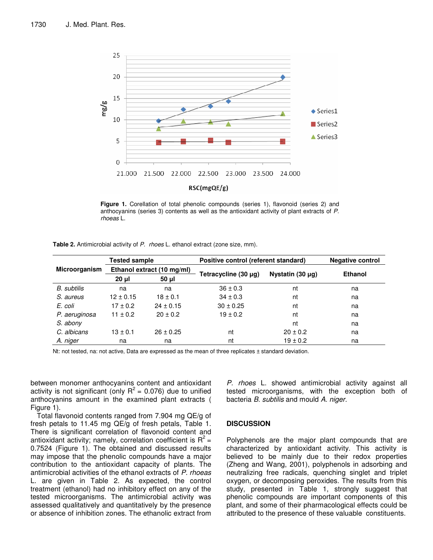

**Figure 1.** Corellation of total phenolic compounds (series 1), flavonoid (series 2) and anthocyanins (series 3) contents as well as the antioxidant activity of plant extracts of *P. rhoeas* L.

**Table 2.** Antimicrobial activity of *P. rhoes* L. ethanol extract (zone size, mm).

|                      | <b>Tested sample</b>       |               | Positive control (referent standard) | <b>Negative control</b> |                |
|----------------------|----------------------------|---------------|--------------------------------------|-------------------------|----------------|
| <b>Microorganism</b> | Ethanol extract (10 mg/ml) |               |                                      |                         | <b>Ethanol</b> |
|                      | $20 \mu$                   | $50 \mu$      | Tetracycline (30 µg)                 | Nystatin $(30 \mu g)$   |                |
| B. subtilis          | na                         | na            | $36 \pm 0.3$                         | nt                      | na             |
| S. aureus            | $12 \pm 0.15$              | $18 \pm 0.1$  | $34 \pm 0.3$                         | nt                      | na             |
| E. coli              | $17 \pm 0.2$               | $24 \pm 0.15$ | $30 \pm 0.25$                        | nt                      | na             |
| P. aeruginosa        | $11 \pm 0.2$               | $20 \pm 0.2$  | $19 \pm 0.2$                         | nt                      | na             |
| S. abony             |                            |               |                                      | nt                      | na             |
| C. albicans          | $13 \pm 0.1$               | $26 \pm 0.25$ | nt                                   | $20 \pm 0.2$            | na             |
| A. niger             | na                         | na            | nt                                   | $19 \pm 0.2$            | na             |

Nt: not tested, na: not active, Data are expressed as the mean of three replicates ± standard deviation.

between monomer anthocyanins content and antioxidant activity is not significant (only  $R^2$  = 0.076) due to unified anthocyanins amount in the examined plant extracts ( Figure 1).

Total flavonoid contents ranged from 7.904 mg QE/g of fresh petals to 11.45 mg QE/g of fresh petals, Table 1. There is significant correlation of flavonoid content and antioxidant activity; namely, correlation coefficient is  $R^2$  = 0.7524 (Figure 1). The obtained and discussed results may impose that the phenolic compounds have a major contribution to the antioxidant capacity of plants. The antimicrobial activities of the ethanol extracts of *P. rhoeas* L. are given in Table 2*.* As expected, the control treatment (ethanol) had no inhibitory effect on any of the tested microorganisms. The antimicrobial activity was assessed qualitatively and quantitatively by the presence or absence of inhibition zones. The ethanolic extract from *P. rhoes* L. showed antimicrobial activity against all tested microorganisms, with the exception both of bacteria *B. subtilis* and mould *A. niger.*

#### **DISCUSSION**

Polyphenols are the major plant compounds that are characterized by antioxidant activity. This activity is believed to be mainly due to their redox properties (Zheng and Wang, 2001), polyphenols in adsorbing and neutralizing free radicals, quenching singlet and triplet oxygen, or decomposing peroxides. The results from this study, presented in Table 1, strongly suggest that phenolic compounds are important components of this plant, and some of their pharmacological effects could be attributed to the presence of these valuable constituents.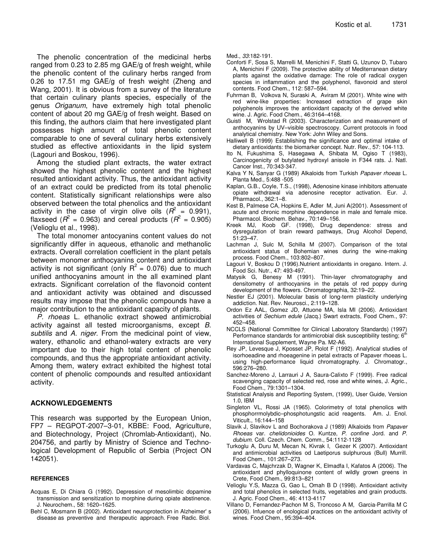The phenolic concentration of the medicinal herbs ranged from 0.23 to 2.85 mg GAE/g of fresh weight, while the phenolic content of the culinary herbs ranged from 0.26 to 17.51 mg GAE/g of fresh weight (Zheng and Wang, 2001). It is obvious from a survey of the literature that certain culinary plants species, especially of the genus *Origanum*, have extremely high total phenolic content of about 20 mg GAE/g of fresh weight. Based on this finding, the authors claim that here investigated plant possesses high amount of total phenolic content comparable to one of several culinary herbs extensively studied as effective antioxidants in the lipid system (Lagouri and Boskou, 1996).

Among the studied plant extracts, the water extract showed the highest phenolic content and the highest resulted antioxidant activity. Thus, the antioxidant activity of an extract could be predicted from its total phenolic content. Statistically significant relationships were also observed between the total phenolics and the antioxidant activity in the case of virgin olive oils  $(R^2 = 0.991)$ , flaxseed ( $R^2$  = 0.963) and cereal products ( $R^2$  = 0.905) (Velioglu et al., 1998).

The total monomer antocyanins content values do not significantly differ in aqueous, ethanolic and methanolic extracts. Overall correlation coefficient in the plant petals between monomer anthocyanins content and antioxidant activity is not significant (only  $R^2$  = 0.076) due to much unified anthocyanins amount in the all examined plant extracts. Significant correlation of the flavonoid content and antioxidant activity was obtained and discussed results may impose that the phenolic compounds have a major contribution to the antioxidant capacity of plants.

*P. rhoeas* L. ethanolic extract showed antimicrobial activity against all tested microorganisms, except *B. subtilis* and *A. niger.* From the medicinal point of view, watery, ethanolic and ethanol-watery extracts are very important due to their high total content of phenolic compounds, and thus the appropriate antioxidant activity. Among them, watery extract exhibited the highest total content of phenolic compounds and resulted antioxidant activity.

# **ACKNOWLEDGEMENTS**

This research was supported by the European Union, FP7 – REGPOT-2007–3-01, KBBE: Food, Agriculture, and Biotechnology, Project (Chromlab-Antioxidant), No. 204756, and partly by Ministry of Science and Technological Development of Republic of Serbia (Project ON 142051).

#### **REFERENCES**

- Acquas E, Di Chiara G (1992). Depression of mesolimbic dopamine transmission and sensitization to morphine during opiate abstinence. J. Neurochem., 58: 1620–1625.
- Behl C, Mosmann B (2002). Antioxidant neuroprotection in Alzheimer' s disease as preventive and therapeutic approach. Free Radic. Biol.

Med., *33*:182-191.

- Conforti F, Sosa S, Marrelli M, Menichini F, Statti G, Uzunov D, Tubaro A, Menichini F (2009). The protective ability of Mediterranean dietary plants against the oxidative damage: The role of radical oxygen species in inflammation and the polyphenol, flavonoid and sterol contents. Food Chem., 112: 587–594.
- Fuhrman B, Volkova N, Suraski A, Aviram M (2001). White wine with red wine-like properties: Increased extraction of grape skin polyphenols improves the antioxidant capacity of the derived white wine*.* J. Agric. Food Chem., 46:3164–4168.
- Guisti M, Wrolstad R (2003). Characterization and measurement of anthocyanins by UV–visible spectroscopy. Current protocols in food analytical chemistry. New York: John Wiley and Sons.
- Halliwell B (1999) Establishing the significance and optimal intake of dietary antioxidants: the biomarker concept*.* Nutr. Rev., 57: 104-113.
- Ito N, Fukushima S, Hasegawa A, Shibata M, Ogiso T (1983), Carcinogenicity of butylated hydroxyl anisole in F344 rats. J. Natl. Cancer Inst., 70:343-347.
- Kalva Y N, Sanyar G (1989) Alkaloids from Turkish *Papaver rhoeas* L. Planta Med*.,* 5:488 -505
- Kaplan, G.B., Coyle, T.S., (1998), Adenosine kinase inhibitors attenuate opiate withdrawal via adenosine receptor activation. Eur. J. Pharmacol., 362:1–8.
- Kest B, Palmese CA, Hopkins E, Adler M, Juni A(2001). Assessment of acute and chronic morphine dependence in male and female mice. Pharmacol. Biochem. Behav., 70:149–156.
- Kreek MJ, Koob GF. (1998), Drug dependence: stress and dysregulation of brain reward pathways, Drug Alcohol Depend, 51:23–47.
- Lachman J, Sulc M, Schilla M (2007). Comparison of the total antioxidant status of Bohemian wines during the wine-making process. Food Chem., 103:802–807.
- Lagouri V, Boskou D (1996).Nutrient antioxidants in oregano. Intern. J. Food Sci. Nutr., 47: 493-497.
- Matysik G, Benesy M (1991). Thin-layer chromatography and densitometry of anthocyanins in the petals of red poppy during development of the flowers. Chromatographia, 32:19–22.
- Nestler EJ (2001). Molecular basis of long-term plasticity underlying addiction. Nat. Rev. Neurosci., 2:119–128.
- Ordon Ez AAL, Gomez JD, Attuone MA, Isla MI (2006). Antioxidant activities of *Sechium edule* (Jacq.) Swart extracts, Food Chem., 97: 452–458*.*
- NCCLS (National Committee for Clinical Laboratory Standards) (1997) Performance standards for antimicrobial disk susceptibility testing;  $6<sup>th</sup>$ International Supplement, Wayne Pa. M2-A6.
- Rey JP, Levesque J, Kposset JP, Rolot F (1992). Analytical studies of isorhoeadine and rhoeagenine in petal extracts of Papaver rhoeas L. using high-performance liquid chromatography. J. Chromatogr., 596:276–280.
- Sanchez-Moreno J, Larrauri J A, Saura-Calixto F (1999). Free radical scavenging capacity of selected red, rose and white wines, J. Agric., Food Chem., 79:1301–1304.
- Statistical Analysis and Reporting System, (1999), User Guide, Version 1.0, IBM
- Singleton VL, Rossi JA (1965). Colorimetry of total phenolics with phosphorrmolybdic–phosphotungstic acid reagents. Am. J. Enol. Viticult., 16:144–158
- Slavik J, Slavikov L and Bochorakova J (1989) Alkaloids from *Papaver Rhoeas* var. *chelidonioides* O. Kuntze, *P. confine* Jord. and *P. dubium*. Coll. Czech. Chem. Comm*.*, 54:1112-1128
- Turkoglu A, Duru M, Mecan N, Kivrak I, Gezer K (2007). Antioxidant and antimicrobial activities od Laetiporus sulphurous (Bull) Murrill. Food Chem., 101:267–273.
- Vardavas C, Majchrzak D, Wagner K, Elmadfa I, Kafatos A (2006). The antioxidant and phylloquinone content of wildly grown greens in Crete, Food Chem., 99:813–821
- Velioglu Y.S, Mazza G, Gao L, Omah B D (1998). Antioxidant activity and total phenolics in selected fruits, vegetables and grain products. J. Agric. Food Chem., 46: 4113-4117
- Villano D, Fernandez-Pachon M S, Troncoso A M, Garcia-Parrilla M C (2006). Infuence of enological practices on the antioxidant activity of wines. Food Chem., 95:394–404.